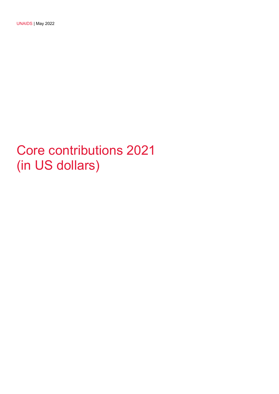UNAIDS | May 2022

## Core contributions 2021 (in US dollars)